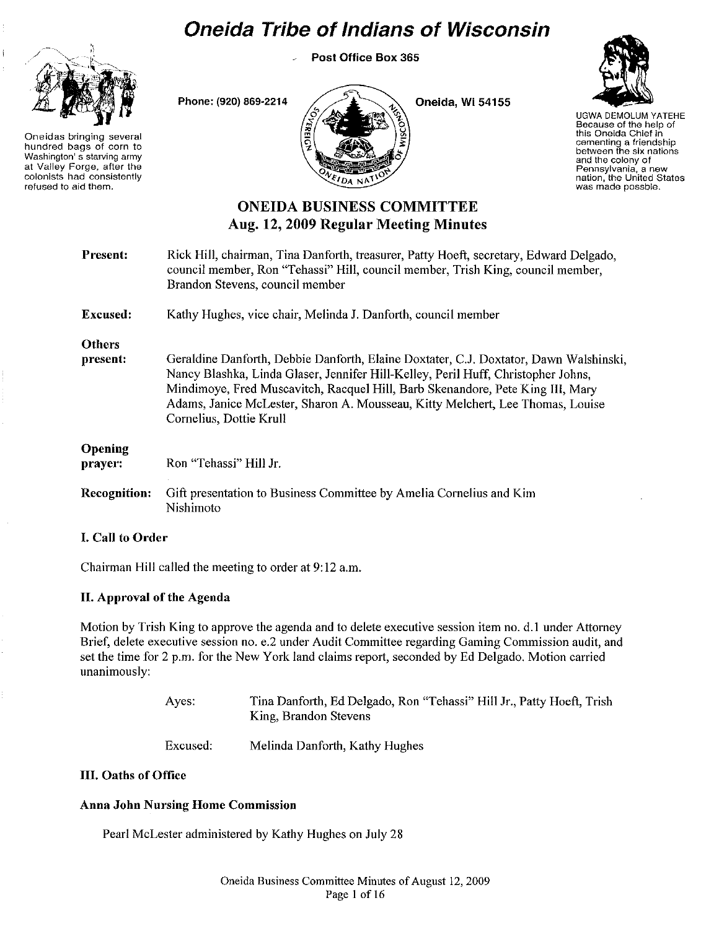# **Oneida Tribe of Indians of Wisconsin**

Post Office Box 365



Oneidas bringing several hundred bags of corn to Washington's starving army at Valley Forge, after the colonists had consistently refused to aid them.



Oneida, Wi 54155



UGWADEMOLUM YATEHE Because of the help of this Oneida Chief in cementing a friendship between the six nations and the colony of Pennsylvania, a new nation, the United States was made possble.

## ONEIDA BUSINESS COMMITTEE Aug. 12, 2009 Regular Meetiug Minutes

| <b>Present:</b>           | Rick Hill, chairman, Tina Danforth, treasurer, Patty Hoeft, secretary, Edward Delgado,<br>council member, Ron "Tehassi" Hill, council member, Trish King, council member,<br>Brandon Stevens, council member                                                                                                                                                              |
|---------------------------|---------------------------------------------------------------------------------------------------------------------------------------------------------------------------------------------------------------------------------------------------------------------------------------------------------------------------------------------------------------------------|
| <b>Excused:</b>           | Kathy Hughes, vice chair, Melinda J. Danforth, council member                                                                                                                                                                                                                                                                                                             |
| <b>Others</b><br>present: | Geraldine Danforth, Debbie Danforth, Elaine Doxtater, C.J. Doxtator, Dawn Walshinski,<br>Nancy Blashka, Linda Glaser, Jennifer Hill-Kelley, Peril Huff, Christopher Johns,<br>Mindimoye, Fred Muscavitch, Racquel Hill, Barb Skenandore, Pete King III, Mary<br>Adams, Janice McLester, Sharon A. Mousseau, Kitty Melchert, Lee Thomas, Louise<br>Cornelius, Dottie Krull |
| Opening<br>prayer:        | Ron "Tehassi" Hill Jr.                                                                                                                                                                                                                                                                                                                                                    |
| <b>Recognition:</b>       | Gift presentation to Business Committee by Amelia Cornelius and Kim<br>Nishimoto                                                                                                                                                                                                                                                                                          |

## I. Call to Order

Chairman Hill called the meeting to order at 9: 12 a.m.

Phone: (920) 869·2214

## II. Approval of the Agenda

Motion by Trish King to approve the agenda and to delete executive session item no. d.1 under Attorney Brief, delete executive session no. e.2 under Audit Committee regarding Gaming Commission audit, and set the time for 2 p.m. for the New York land claims report, seconded by Ed Delgado. Motion carried unanimously:

| Ayes: | Tina Danforth, Ed Delgado, Ron "Tehassi" Hill Jr., Patty Hoeft, Trish |
|-------|-----------------------------------------------------------------------|
|       | King, Brandon Stevens                                                 |
|       |                                                                       |

Excused: Melinda Danforth, Kathy Hughes

## III. Oaths of Office

## Anna John Nursing Home Commission

Pearl McLester administered by Kathy Hughes on July 28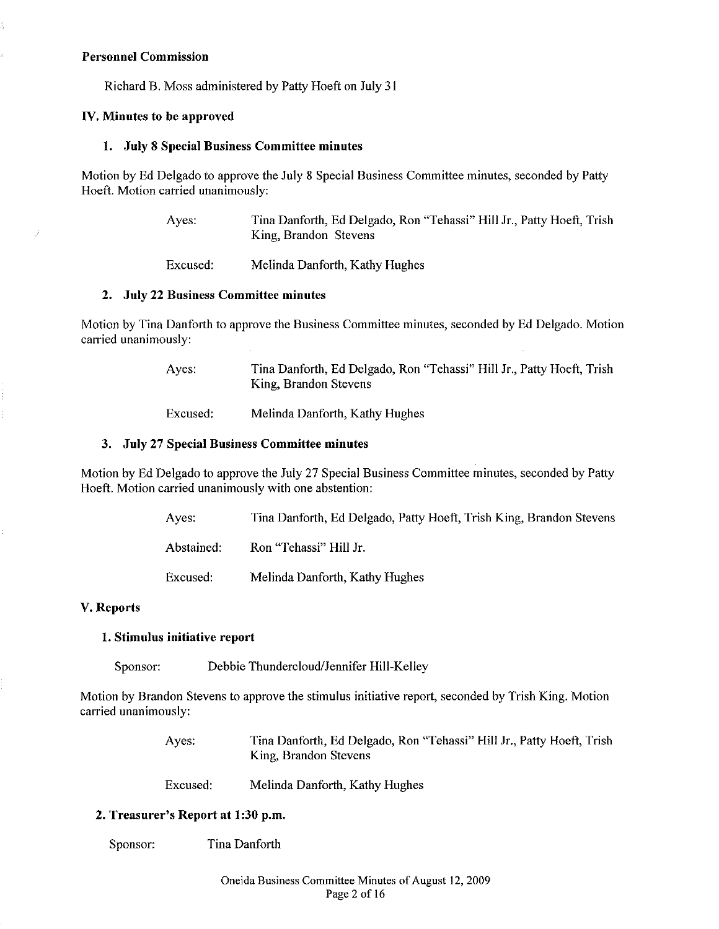#### Personnel Commission

4

Richard B. Moss administered by Patty Hoeft on July 31

## IV. Minutes to be approved

## 1. July 8 Special Business Committee minutes

Motion by Ed Delgado to approve the July 8 Special Business Committee minutes, seconded by Patty Hoeft. Motion carried unanimously:

> Ayes: Tina Danforth, Ed Delgado, Ron "Tehassi" Hill Jr., Patty Hoeft, Trish King, Brandon Stevens

Excused: Melinda Danforth, Kathy Hughes

#### 2. July 22 Business Committee minutes

Motion by Tina Danforth to approve the Business Committee minutes, seconded by Ed Delgado. Motion carried unanimously:

> Ayes: Tina Danforth, Ed Delgado, Ron "Tehassi" Hill Jr., Patty Hoeft, Trish King, Brandon Stevens

Excused: Melinda Danforth, Kathy Hughes

## 3. July 27 Special Business Committee minutes

Motion by Ed Delgado to approve the July 27 Special Business Committee minutes, seconded by Patty Hoeft. Motion carried unanimously with one abstention:

| Ayes:      | Tina Danforth, Ed Delgado, Patty Hoeft, Trish King, Brandon Stevens |
|------------|---------------------------------------------------------------------|
| Abstained: | Ron "Tehassi" Hill Jr.                                              |
| Excused:   | Melinda Danforth, Kathy Hughes                                      |

## V. Reports

## 1. Stimulus initiative report

Sponsor: Debbie Thundercloud/Jennifer Hill-Kelley

Motion by Brandon Stevens to approve the stimulus initiative report, seconded by Trish King. Motion carried unanimously:

> Ayes: Tina Danforth, Ed Delgado, Ron "Tehassi" Hill Jr., Patty Hoeft, Trish King, Brandon Stevens

Excused: Melinda Danforth, Kathy Hughes

## 2. Treasurer's Report at 1:30 p.m.

Sponsor: Tina Danforth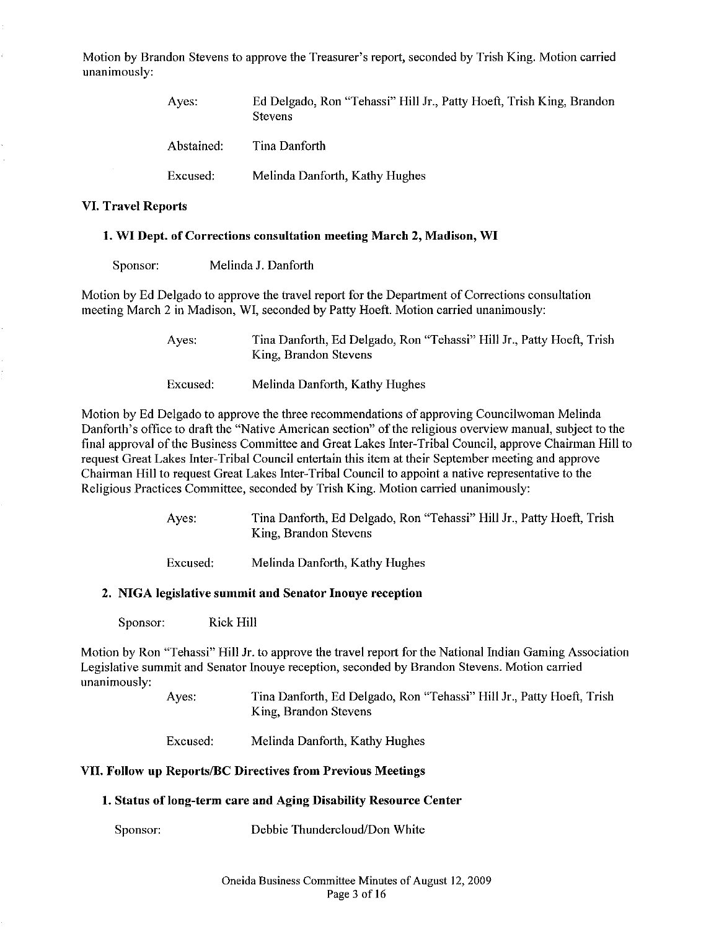Motion by Brandon Stevens to approve the Treasurer's report, seconded by Trish King. Motion carried unanimously:

| Aves:      | Ed Delgado, Ron "Tehassi" Hill Jr., Patty Hoeft, Trish King, Brandon<br><b>Stevens</b> |
|------------|----------------------------------------------------------------------------------------|
| Abstained: | Tina Danforth                                                                          |
| Excused:   | Melinda Danforth, Kathy Hughes                                                         |

#### VI. Travel Reports

#### 1. WI Dept. of Corrections consultation meeting March 2, Madison, WI

| Sponsor: | Melinda J. Danforth |  |
|----------|---------------------|--|
|----------|---------------------|--|

Motion by Ed Delgado to approve the travel report for the Department of Corrections consultation meeting March 2 in Madison, WI, seconded by Patty Hoeft. Motion carried unanimously:

> Ayes: Tina Danforth, Ed Delgado, Ron "Tehassi" Hill Jr., Patty Hoeft, Trish King, Brandon Stevens

Excused: Melinda Danforth, Kathy Hughes

Motion by Ed Delgado to approve the three recommendations of approving Councilwoman Melinda Danforth's office to draft the "Native American section" of the religious overview manual, subject to the final approval ofthe Business Committee and Great Lakes Inter-Tribal Council, approve Chairman Hill to request Great Lakes Inter-Tribal Council entertain this item at their September meeting and approve Chairman Hill to request Great Lakes Inter-Tribal Council to appoint a native representative to the Religious Practices Committee, seconded by Trish King. Motion carried unanimously:

> Ayes: Tina Danforth, Ed Delgado, Ron "Tehassi" Hill Jr., Patty Hoeft, Trish King, Brandon Stevens

Excused: Melinda Danforth, Kathy Hughes

#### 2. NIGA legislative summit and Senator Inouye reception

Sponsor: Rick Hill

Motion by Ron "Tehassi" Hill Jr. to approve the travel report for the National Indian Gaming Association Legislative summit and Senator Inouye reception, seconded by Brandon Stevens. Motion carried unanimously:

> Ayes: Tina Danforth, Ed Delgado, Ron "Tehassi" Hill Jr., Patty Hoeft, Trish King, Brandon Stevens

Excused: Melinda Danforth, Kathy Hughes

#### VII. Follow up Reports/BC Directives from Previous Meetings

## 1. Status of loug-term care and Aging Disability Resource Center

Sponsor: Debbie Thundercloud/Don White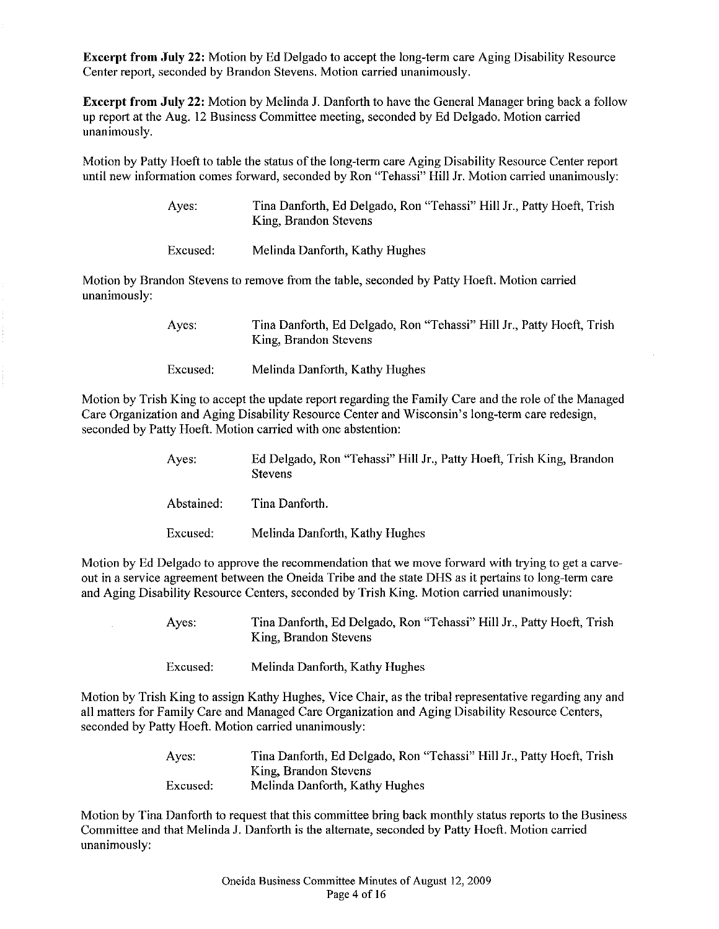**Excerpt from July 22:** Motion by Ed Delgado to accept the long-term care Aging Disability Resource Center report, seconded by Brandon Stevens. Motion carried unanimously.

**Excerpt from July 22:** Motion by Melinda J. Danforth to have the General Manager bring back a follow up report at the Aug. 12 Business Committee meeting, seconded by Ed Delgado. Motion carried unanimously.

Motion by Patty Hoeft to table the status of the long-term care Aging Disability Resource Center report until new information comes forward, seconded by Ron "Tehassi" Hill Jr. Motion carried unanimously:

> Ayes: Tina Danforth, Ed Delgado, Ron "Tehassi" Hill Jr., Patty Hoeft, Trish King, Brandon Stevens

Excused: Melinda Danforth, Kathy Hughes

Motion by Brandon Stevens to remove from the table, seconded by Patty Hoeft. Motion carried unanimously:

> Ayes: Tina Danforth, Ed Delgado, Ron "Tehassi" Hill Jr., Patty Hoeft, Trish King, Brandon Stevens

Excused: Melinda Danforth, Kathy Hughes

Motion by Trish King to accept the update report regarding the Family Care and the role of the Managed Care Organization and Aging Disability Resource Center and Wisconsin's long-term care redesign, seconded by Patty Hoeft. Motion carried with one abstention:

> Ayes: Ed Delgado, Ron "Tehassi" Hill Jr., Patty Hoeft, Trish King, Brandon Stevens

Abstained: Tina Danforth.

Excused: Melinda Danforth, Kathy Hughes

Motion by Ed Delgado to approve the recommendation that we move forward with trying to get a carveout in a service agreement between the Oneida Tribe and the state DHS as it pertains to long-term care and Aging Disability Resource Centers, seconded by Trish King. Motion carried unanimously:

> Ayes: Tina Danforth, Ed Delgado, Ron "Tehassi" Hill Jr., Patty Hoeft, Trish King, Brandon Stevens

Excused: Melinda Danforth, Kathy Hughes

Motion by Trish King to assign Kathy Hughes, Vice Chair, as the tribal representative regarding any and all matters for Family Care and Managed Care Organization and Aging Disability Resource Centers, seconded by Patty Hoeft. Motion carried unanimously:

> Ayes: Excused: Tina Danforth, Ed Delgado, Ron "Tehassi" Hill Jr., Patty Hoeft, Trish King, Brandon Stevens Melinda Danforth, Kathy Hughes

Motion by Tina Danforth to request that this committee bring back monthly status reports to the Business Committee and that Melinda 1. Danforth is the alternate, seconded by Patty Hoeft. Motion carried unanimously: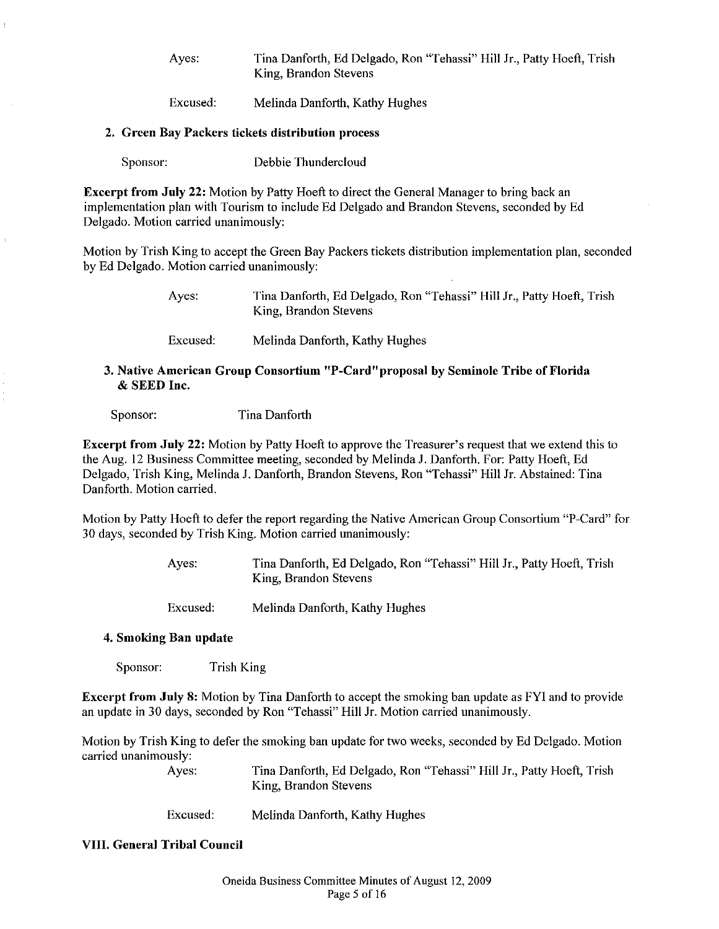Ayes: Tina Danforth, Ed Delgado, Ron "Tehassi" Hill Jr., Patty Hoeft, Trish King, Brandon Stevens

Excused: Melinda Danforth, Kathy Hughes

#### 2. Green Bay Packers tickets distribution process

Sponsor: Debbie Thundercloud

Excerpt from July 22: Motion by Patty Hoeft to direct the General Manager to bring back an implementation plan with Tourism to include Ed Delgado and Brandon Stevens, seconded by Ed Delgado. Motion carried unanimously:

Motion by Trish King to accept the Green Bay Packers tickets distribution implementation plan, seconded by Ed Delgado. Motion carried unanimously:

> Ayes: Tina Danforth, Ed Delgado, Ron "Tehassi" Hill Jr., Patty Hoeft, Trish King, Brandon Stevens

Excused: Melinda Danforth, Kathy Hughes

## 3. Native American Group Cousortium "P-Card" proposal by Seminole Tribe of Florida & SEED Inc.

Sponsor: Tina Danforth

Excerpt from July 22: Motion by Patty Hoeft to approve the Treasurer's request that we extend this to the Aug. 12 Business Committee meeting, seconded by Melinda J. Danforth. For: Patty Hoeft, Ed Delgado, Trish King, Melinda J. Danforth, Brandon Stevens, Ron "Tehassi" Hill Jr. Abstained: Tina Danforth. Motion carried.

Motion by Patty Hoeft to defer the report regarding the Native American Group Consortium "P-Card" for 30 days, seconded by Trish King. Motion carried unanimously:

> Ayes: Tina Danforth, Ed Delgado, Ron "Tehassi" Hill Jr., Patty Hoeft, Trish King, Brandon Stevens

Excused: Melinda Danforth, Kathy Hughes

#### 4. Smoking Ban update

Sponsor: Trish King

Excerpt from July 8: Motion by Tina Danforth to accept the smoking ban update as FYI and to provide an update in 30 days, seconded by Ron "Tehassi" Hill Jr. Motion carried unanimously.

Motion by Trish King to defer the smoking ban update for two weeks, seconded by Ed Delgado. Motion carried unanimously:

> Ayes: Tina Danforth, Ed Delgado, Ron "Tehassi" Hill Jr., Patty Hoeft, Trish King, Brandon Stevens

Excused: Melinda Danforth, Kathy Hughes

#### VIII. General Tribal Council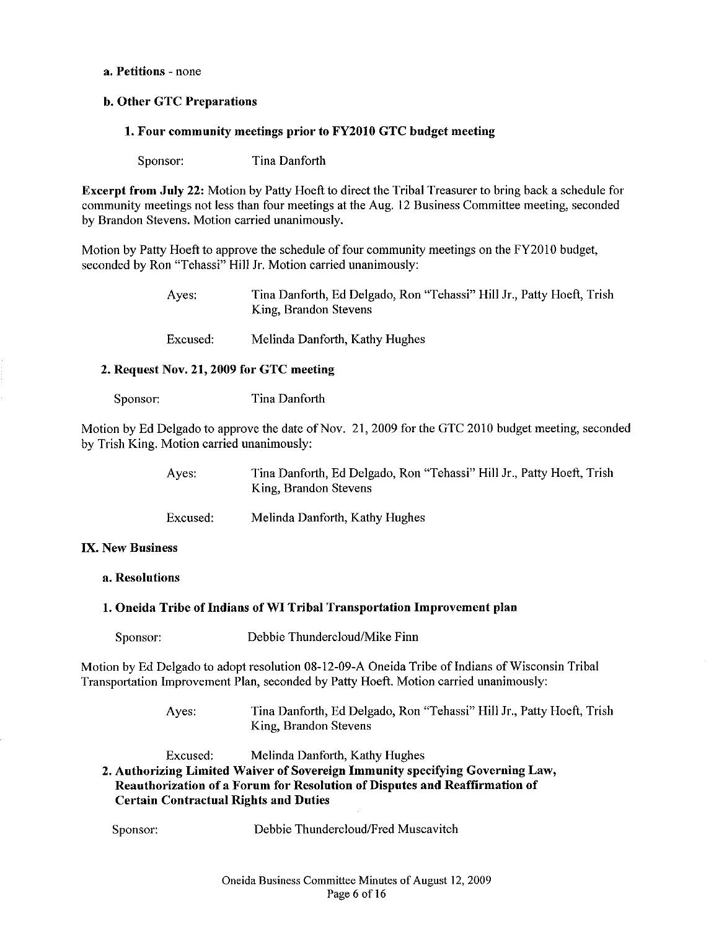#### a. Petitions - none

## b. Other GTC Preparations

#### 1. Four community meetings prior to FY2010 GTC budget meeting

Sponsor: Tina Danforth

Excerpt from Jnly 22: Motion by Patty Hoeft to direct the Tribal Treasurer to bring back a schedule for community meetings not less than four meetings at the Aug. 12 Business Committee meeting, seconded by Brandon Stevens. Motion carried unanimously.

Motion by Patty Hoeft to approve the schedule of four community meetings on the FY2010 budget, seconded by Ron "Tehassi" Hill Jr. Motion carried unanimously:

> Ayes: Tina Danforth, Ed Delgado, Ron "Tehassi" Hill Jr., Patty Hoeft, Trish King, Brandon Stevens

Excused: Melinda Danforth, Kathy Hughes

## 2. Request Nov. 21, 2009 for GTC meeting

Sponsor: Tina Danforth

Motion by Ed Delgado to approve the date of Nov. 21,2009 for the GTC 2010 budget meeting, seconded by Trish King. Motion carried unanimously:

| Ayes:    | Tina Danforth, Ed Delgado, Ron "Tehassi" Hill Jr., Patty Hoeft, Trish<br>King, Brandon Stevens |
|----------|------------------------------------------------------------------------------------------------|
| Excused: | Melinda Danforth, Kathy Hughes                                                                 |

#### IX. New Business

#### a. Resolntions

## 1. Oneida Tribe of Indians of WI Tribal Transportation Improvement plan

Sponsor: Debbie Thundercloud/Mike Finn

Motion by Ed Delgado to adopt resolution 08-12-09-A Oneida Tribe of Indians of Wisconsin Tribal Transportation Improvement Plan, seconded by Patty Hoeft. Motion carried unanimously:

> Ayes: Tina Danforth, Ed Delgado, Ron "Tehassi" Hill Jr., Patty Hoeft, Trish King, Brandon Stevens

Excused: Melinda Danforth, Kathy Hughes

2. Authorizing Limited Waiver of Sovereign Immunity specifying Governing Law, Reauthorization of a Forum for Resolution of Disputes and Reaffirmation of Certain Contractual Rights and Duties

Sponsor: Debbie Thundercloud/Fred Muscavitch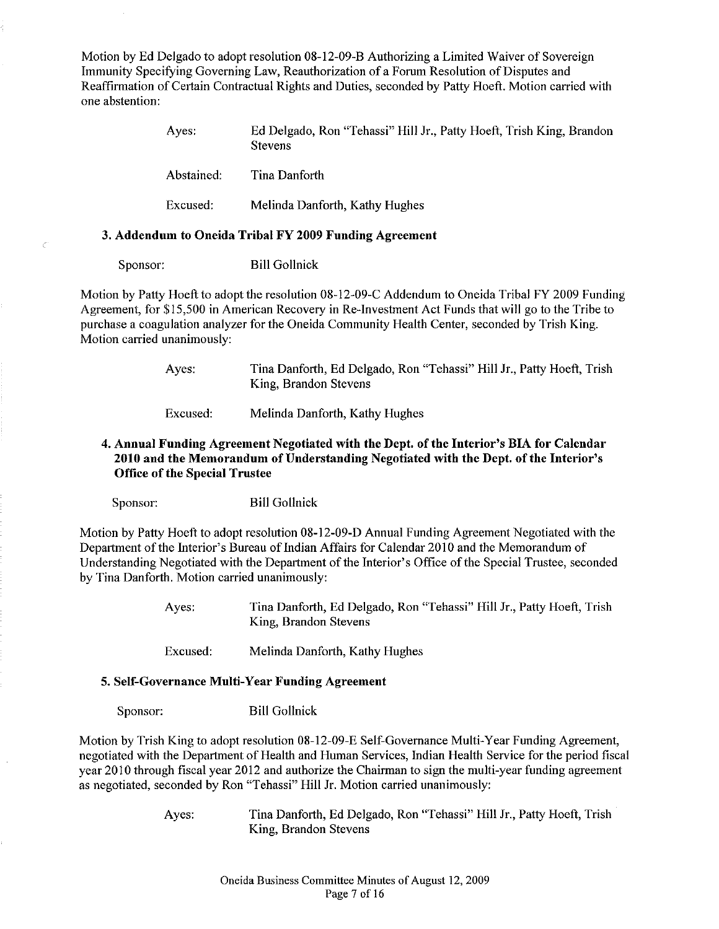Motion by Ed Delgado to adopt resolution 08-12-09-B Authorizing a Limited Waiver of Sovereign Immunity Specifying Governing Law, Reauthorization of a Forum Resolution of Disputes and Reaffirmation ofCertain Contractual Rights and Duties, seconded by Patty Hoeft. Motion carried with one abstention:

| Aves:      | Ed Delgado, Ron "Tehassi" Hill Jr., Patty Hoeft, Trish King, Brandon<br><b>Stevens</b> |
|------------|----------------------------------------------------------------------------------------|
| Abstained: | Tina Danforth                                                                          |
| Excused:   | Melinda Danforth, Kathy Hughes                                                         |

## 3. Addendum to Oneida Tribal FY 2009 Funding Agreement

Sponsor: Bill Gollnick

Č

Motion by Patty Hoeft to adopt the resolution 08-12-09-C Addendum to Oneida Tribal FY 2009 Funding Agreement, for \$15,500 in American Recovery in Re-Investment Act Funds that will go to the Tribe to purchase a coagulation analyzer for the Oneida Community Health Center, seconded by Trish King. Motion carried unanimously:

> Ayes: Tina Danforth, Ed Delgado, Ron "Tehassi" Hill Jr., Patty Hoeft, Trish King, Brandon Stevens

Excused: Melinda Danforth, Kathy Hughes

## 4. Annual Funding Agreement Negotiated with the Dept. of the Interior's BIA for Calendar 2010 and the Memorandum of Understanding Negotiated with the Dept. of the Interior's Office of the Special Trustee

Sponsor: Bill Gollnick

Motion by Patty Hoeft to adopt resolution 08-12-09-0 Annual Funding Agreement Negotiated with the Department of the Interior's Bureau of Indian Affairs for Calendar 2010 and the Memorandum of Understanding Negotiated with the Department of the Interior's Office of the Special Trustee, seconded by Tina Danforth. Motion carried unanimously:

> Ayes: Tina Danforth, Ed Delgado, Ron "Tehassi" Hill Jr., Patty Hoeft, Trish King, Brandon Stevens

Excused: Melinda Danforth, Kathy Hughes

#### 5. Self-Governance Multi-Year Funding Agreement

Sponsor: Bill Gollnick

Motion by Trish King to adopt resolution 08-12-09-E Self-Governance Multi-Year Funding Agreement, negotiated with the Department of Health and Human Services, Indian Health Service for the period fiscal year 2010 through fiscal year 2012 and authorize the Chairman to sign the multi-year funding agreement as negotiated, seconded by Ron "Tehassi" Hill Jr. Motion carried unanimously:

> Ayes: Tina Danforth, Ed Delgado, Ron "Tehassi" Hill Jr., Patty Hoeft, Trish King, Brandon Stevens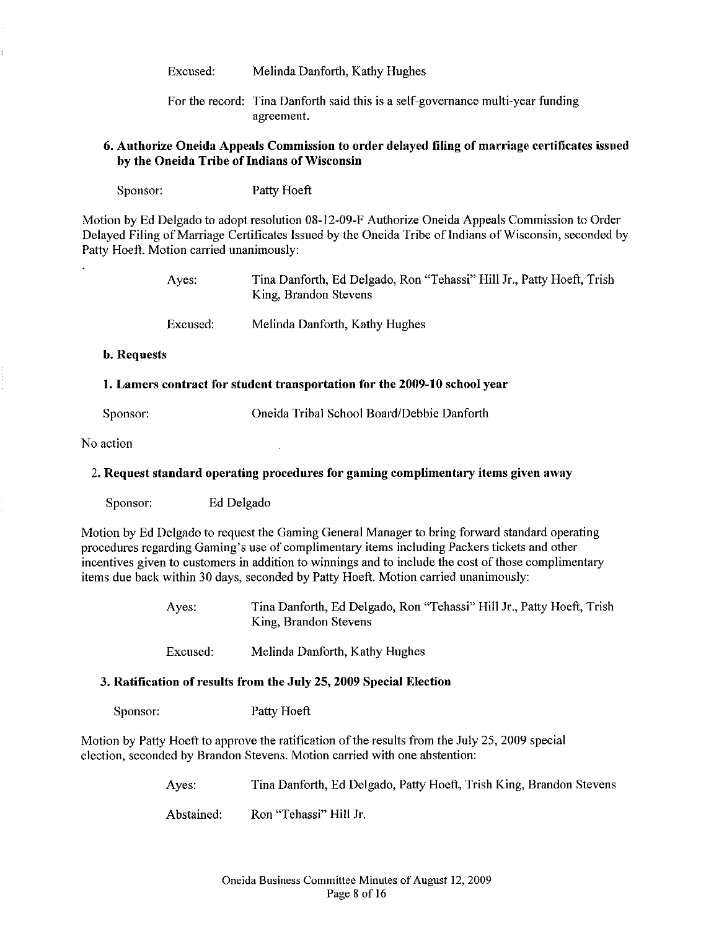Excused: Melinda Danforth, Kathy Hughes

For the record: Tina Danforth said this is a self-governance multi-year funding agreement.

## 6. Authorize Oneida Appeals Commission to order delayed filing of marriage certificates issued by the Oneida Tribe of Indians of Wisconsin

Sponsor: Patty Hoeft

Motion by Ed Delgado to adopt resolution 08-12-09-F Authorize Oneida Appeals Commission to Order Delayed Filing of Marriage Certificates Issued by the Oneida Tribe of Indians of Wisconsin, seconded by Patty Hoeft. Motion carried unanimously:

| Aves:    | Tina Danforth, Ed Delgado, Ron "Tehassi" Hill Jr., Patty Hoeft, Trish<br>King, Brandon Stevens |
|----------|------------------------------------------------------------------------------------------------|
| Excused: | Melinda Danforth, Kathy Hughes                                                                 |

b. Requests

#### 1. Lamers contract for student transportation for the 2009-10 school year

Sponsor: Oneida Tribal School Board/Debbie Danforth

No action

## 2. Request standard operating procedures for gaming complimentary items given away

Sponsor: Ed Delgado

Motion by Ed Delgado to request the Gaming General Manager to bring forward standard operating procedures regarding Gaming's use of complimentary items including Packers tickets and other incentives given to customers in addition to winnings and to include the cost of those complimentary items due back within 30 days, seconded by Patty Hoeft. Motion carried unanimously:

> Ayes: Tina Danforth, Ed Delgado, Ron "Tehassi" Hill Jr., Patty Hoeft, Trish King, Brandon Stevens

Excused: Melinda Danforth, Kathy Hughes

#### 3. Ratification of results from the July 25, 2009 Special Election

Sponsor: Patty Hoeft

Motion by Patty Hoeft to approve the ratification of the results from the July 25, 2009 special election, seconded by Brandon Stevens. Motion carried with one abstention:

> Ayes: Tina Danforth, Ed Delgado, Patty Hoeft, Trish King, Brandon Stevens

Abstained: Ron "Tehassi" Hill Jr.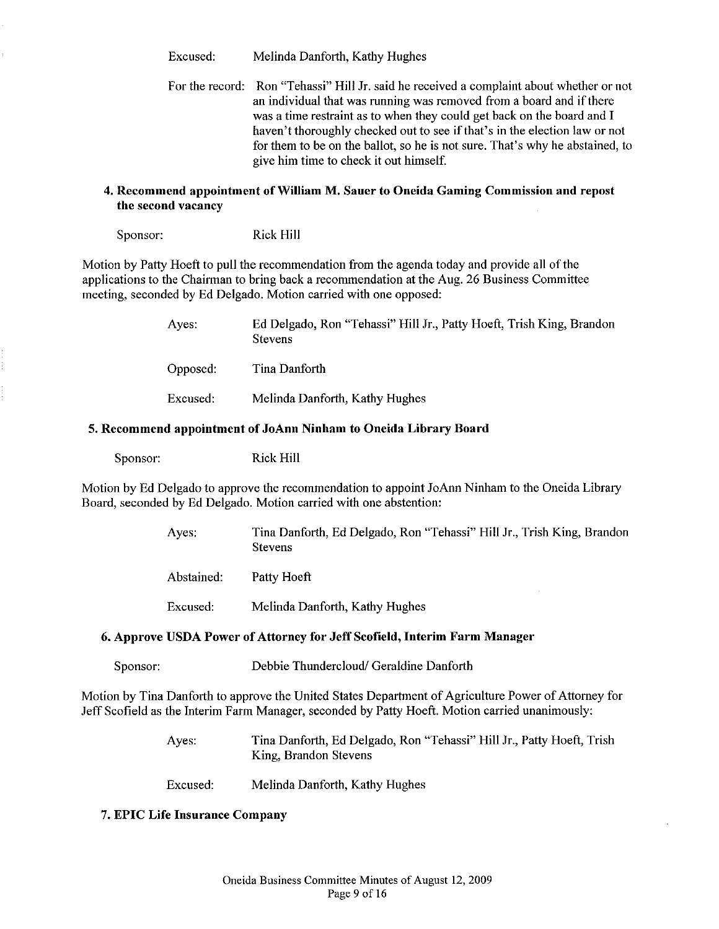Excused: Melinda Danforth, Kathy Hughes

For the record: Ron "Tehassi" Hill Jr. said he received a complaint about whether or not an individual that was running was removed from a board and if there was a time restraint as to when they could get back on the board and I haven't thoroughly checked out to see if that's in the election law or not for them to be on the ballot, so he is not sure. That's why he abstained, to give him time to check it out himself.

## 4. Recommend appointment of William M. Sauer to Oneida Gaming Commission and repost the second vacancy

Sponsor: Rick Hill

Motion by Patty Hoeft to pull the recommendation from the agenda today and provide all ofthe applications to the Chairman to bring back a recommendation at the Aug. 26 Business Committee meeting, seconded by Ed Delgado. Motion carried with one opposed:

| Ayes:    | Ed Delgado, Ron "Tehassi" Hill Jr., Patty Hoeft, Trish King, Brandon<br><b>Stevens</b> |
|----------|----------------------------------------------------------------------------------------|
| Opposed: | Tina Danforth                                                                          |
| Excused: | Melinda Danforth, Kathy Hughes                                                         |

## 5. Recommend appointment of JoAnn Ninham to Oneida Library Board

Sponsor: Rick Hill

Motion by Ed Delgado to approve the recommendation to appoint JoAnn Ninham to the Oneida Library Board, seconded by Ed Delgado. Motion carried with one abstention:

> Ayes: Tina Danforth, Ed Delgado, Ron "Tehassi" Hill Jr., Trish King, Brandon Stevens

Abstained: Patty Hoeft

Excused: Melinda Danforth, Kathy Hughes

## 6. Approve USDA Power of Attorney for Jeff Scofield, Interim Farm Manager

Sponsor: Debbie Thundercloud/ Geraldine Danforth

Motion by Tina Danforth to approve the United States Department of Agriculture Power of Attorney for Jeff Scofield as the Interim Farm Manager, seconded by Patty Hoeft. Motion carried unanimously:

> Ayes: Tina Danforth, Ed Delgado, Ron "Tehassi" Hill Jr., Patty Hoeft, Trish King, Brandon Stevens

Excused: Melinda Danforth, Kathy Hughes

## 7. EPIC Life Insurance Company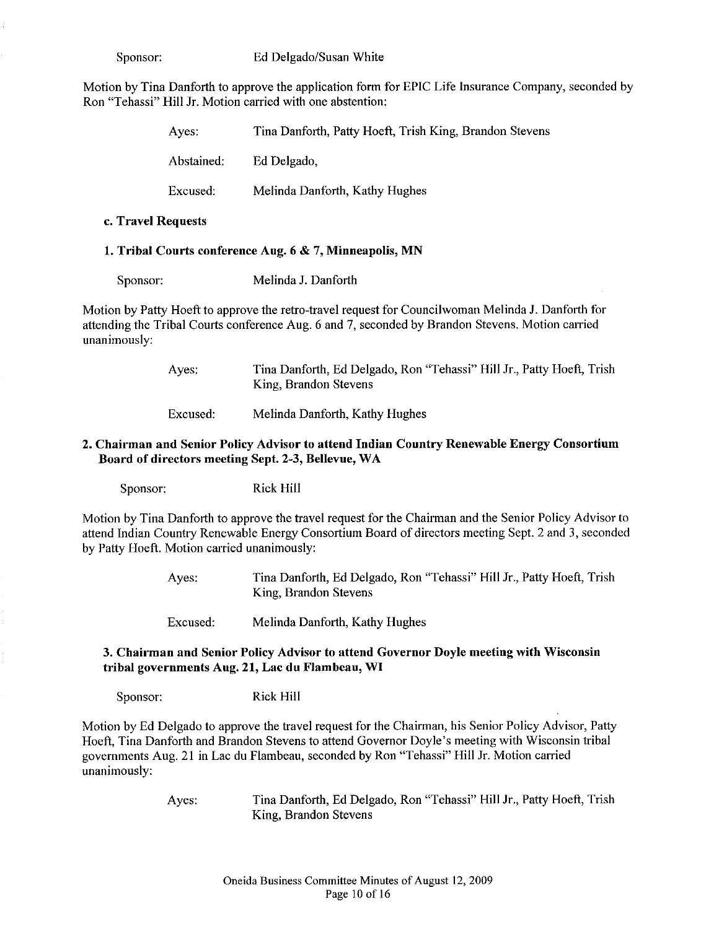Motion by Tina Danforth to approve the application form for EPIC Life Insurance Company, seconded by Ron "Tehassi" Hill Jr. Motion carried with one abstention:

| Aves:      | Tina Danforth, Patty Hoeft, Trish King, Brandon Stevens |
|------------|---------------------------------------------------------|
| Abstained; | Ed Delgado,                                             |
| Excused:   | Melinda Danforth, Kathy Hughes                          |

#### c. Travel Requests

## 1. Tribal Courts coufereuce Aug. 6 & 7, Miuueapolis, MN

Sponsor: Melinda J. Danforth

Motion by Patty Hoeft to approve the retro-travel request for Councilwoman Melinda J. Danforth for attending the Tribal Courts conference Aug. 6 and 7, seconded by Brandon Stevens. Motion carried unanimously:

> Ayes: Tina Danforth, Ed Delgado, Ron "Tehassi" Hill Jr., Patty Hoeft, Trish King, Brandon Stevens

Excused: Melinda Danforth, Kathy Hughes

## 2. Chairman and Senior Policy Advisor to attend Indian Country Renewable Energy Consortium Board of directors meeting Sept. 2-3, Bellevue, WA

Sponsor: Rick Hill

Motion by Tina Danforth to approve the travel request for the Chairman and the Senior Policy Advisor to attend Indian Country Renewable Energy Consortium Board of directors meeting Sept. 2 and 3, seconded by Patty Hoeft. Motion carried unanimously:

> Ayes: Tina Danforth, Ed Delgado, Ron "Tehassi" Hill Jr., Patty Hoeft, Trish King, Brandon Stevens

Excused: Melinda Danforth, Kathy Hughes

## 3. Chairman and Senior Policy Advisor to attend Governor Doyle meeting with Wisconsin tribal governments Aug. 21, Lac du Flambeau, WI

Sponsor: Rick Hill

Motion by Ed Delgado to approve the travel request for the Chairman, his Senior Policy Advisor, Patty Hoeft, Tina Danforth and Brandon Stevens to attend Governor Doyle's meeting with Wisconsin tribal governments Aug. 21 in Lac du Flambeau, seconded by Ron "Tehassi" Hill Jr. Motion carried unanimously:

Ayes: Tina Danforth, Ed Delgado, Ron "Tehassi" Hill Jr., Patty Hoeft, Trish King, Brandon Stevens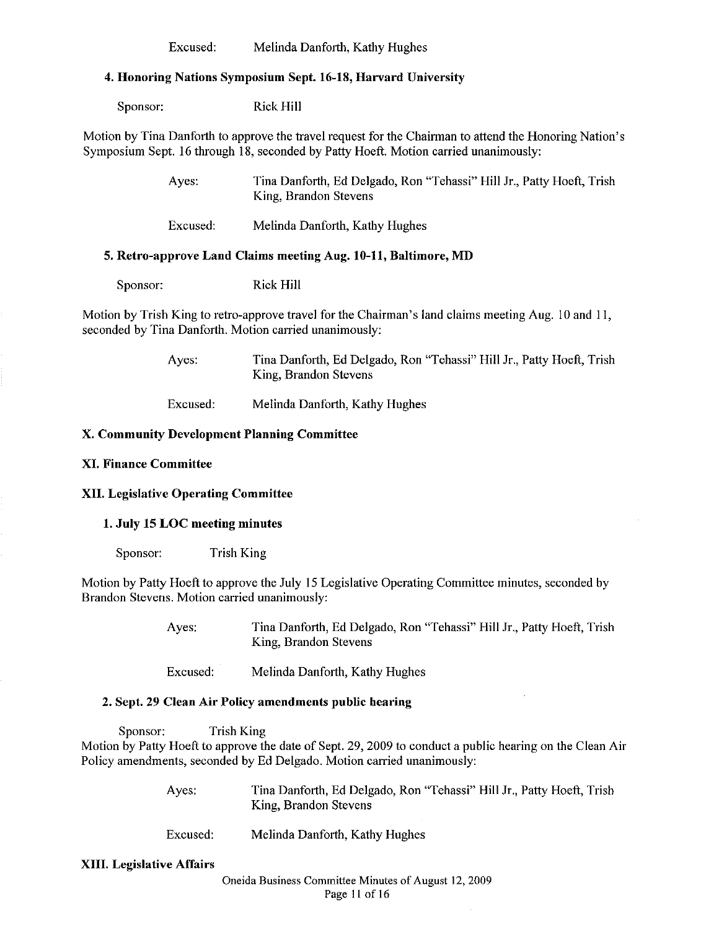Excused: Melinda Danforth, Kathy Hughes

#### 4. Honoring Nations Symposium Sept. 16-18, Harvard University

Sponsor: Rick Hill

Motion by Tina Danforth to approve the travel request for the Chairman to attend the Honoring Nation's Symposium Sept. 16 through 18, seconded by Patty Hoeft. Motion carried unanimously:

> Ayes: Tina Danforth, Ed Delgado, Ron "Tehassi" Hill Jr., Patty Hoeft, Trish King, Brandon Stevens

Excused: Melinda Danforth, Kathy Hughes

#### 5. Retro-approve Land Claims meeting Aug. 10-11, Baltimore, MD

Sponsor: Rick Hill

Motion by Trish King to retro-approve travel for the Chairman's land claims meeting Aug. 10 and II, seconded by Tina Danforth. Motion carried unanimously:

> Ayes: Tina Danforth, Ed Delgado, Ron "Tehassi" Hill Jr., Patty Hoeft, Trish King, Brandon Stevens

Excused: Melinda Danforth, Kathy Hughes

## X. Community Development Planning Committee

## XI. Finance Committee

## XII. Legislative Operating Committee

#### 1. July 15 LOC meeting minutes

Sponsor: Trish King

Motion by Patty Hoeft to approve the July 15 Legislative Operating Committee minutes, seconded by Brandon Stevens. Motion carried unanimously:

> Ayes: Tina Danforth, Ed Delgado, Ron "Tehassi" Hill Jr., Patty Hoeft, Trish King, Brandon Stevens

Excused: Melinda Danforth, Kathy Hughes

#### 2. Sept. 29 Clean Air Policy amendments public bearing

Sponsor: Trish King Motion by Patty Hoeft to approve the date of Sept. 29, 2009 to conduct a public hearing on the Clean Air Policy amendments, seconded by Ed Delgado. Motion carried unanimously:

| Ayes: | Tina Danforth, Ed Delgado, Ron "Tehassi" Hill Jr., Patty Hoeft, Trish |
|-------|-----------------------------------------------------------------------|
|       | King, Brandon Stevens                                                 |

Excused: Melinda Danforth, Kathy Hughes

#### XIII. Legislative Affairs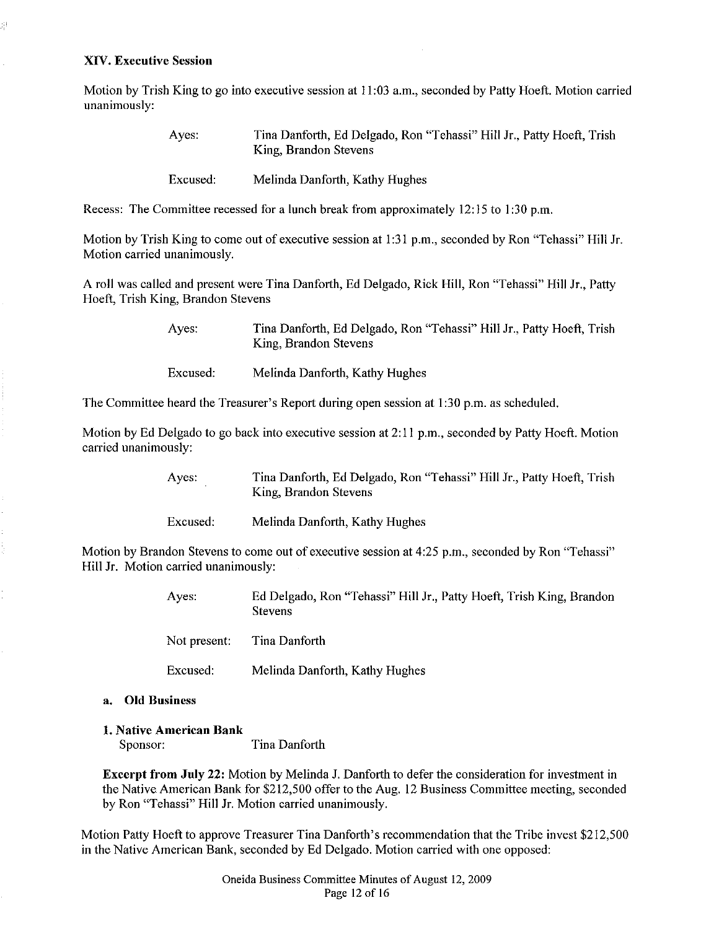#### XIV. Executive Sessiou

Ął

Motion by Trish King to go into executive session at 11:03 a.m., seconded by Patty Hoeft. Motion carried unanimously:

| Aves:    | Tina Danforth, Ed Delgado, Ron "Tehassi" Hill Jr., Patty Hoeft, Trish<br>King, Brandon Stevens |
|----------|------------------------------------------------------------------------------------------------|
| Excused: | Melinda Danforth, Kathy Hughes                                                                 |

Recess: The Committee recessed for a lunch break from approximately 12:15 to I :30 p.m.

Motion by Trish King to come out of executive session at 1:31 p.m., seconded by Ron "Tehassi" Hill Jr. Motion carried unanimously.

A roll was called and present were Tina Danforth, Ed Delgado, Rick Hill, Ron "Tehassi" Hill Jr., Patty Hoeft, Trish King, Brandon Stevens

> Ayes: Tina Danforth, Ed Delgado, Ron "Tehassi" Hill Jr., Patty Hoeft, Trish King, Brandon Stevens

Excused: Melinda Danforth, Kathy Hughes

The Committee heard the Treasurer's Report during open session at 1:30 p.m. as scheduled.

Motion by Ed Delgado to go back into executive session at 2:11 p.m., seconded by Patty Hoeft. Motion carried unanimously:

> Ayes: Tina Danforth, Ed Delgado, Ron "Tehassi" Hill Jr., Patty Hoeft, Trish King, Brandon Stevens

Excused: Melinda Danforth, Kathy Hughes

Motion by Brandon Stevens to come out of executive session at 4:25 p.m., seconded by Ron "Tehassi" Hill Jr. Motion carried unanimously:

> Ayes: Ed Delgado, Ron "Tehassi" Hill Jr., Patty Hoeft, Trish King, Brandon **Stevens**

Not present Tina Danforth

Excused: Melinda Danforth, Kathy Hughes

#### a. Old Business

#### 1. Native American Bank

Sponsor: Tina Danforth

Excerpt from July 22: Motion by Melinda J. Danforth to defer the consideration for investment in the Native.American Bank for \$212,500 offer to the Aug. 12 Business Committee meeting, seconded by Ron "Tehassi" Hill Jr. Motion carried unanimously.

Motion Patty Hoeft to approve Treasurer Tina Danforth's recommendation that the Tribe invest \$212,500 in the Native American Bank, seconded by Ed Delgado. Motion carried with one opposed: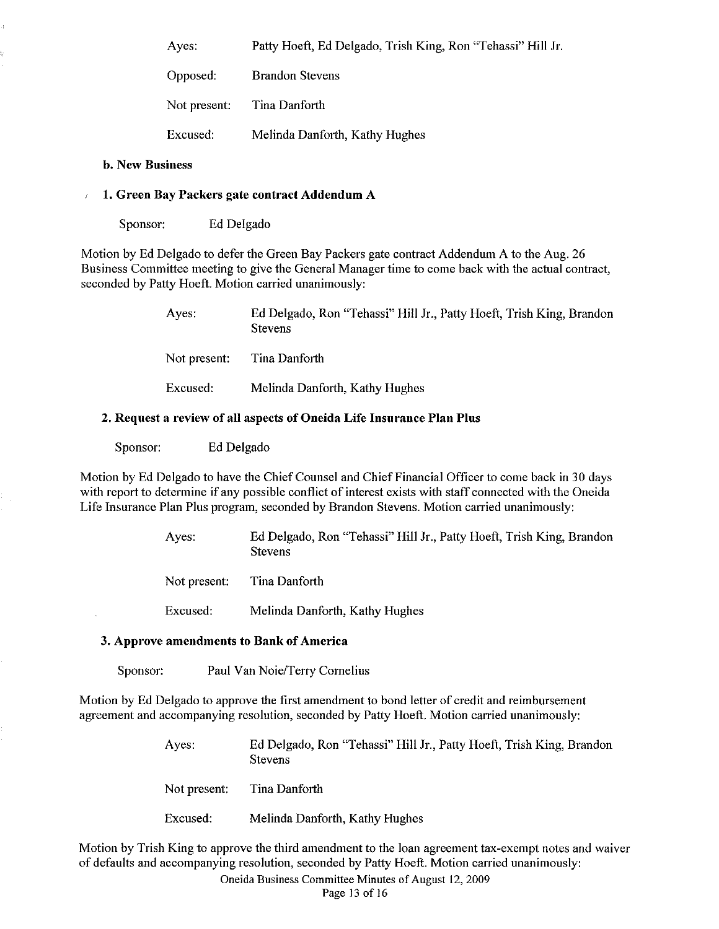Ayes: Patty Hoeft, Ed Delgado, Trish King, Ron "Tehassi" Hill Jr.

Opposed: Not present: Brandon Stevens Tina Danforth

Excused: Melinda Danforth, Kathy Hughes

## b. New Business

## 1. Green Bay Packers gate contract Addendum A

Sponsor: Ed Delgado

Motion by Ed Delgado to defer the Green Bay Packers gate contract Addendum A to the Aug. 26 Business Committee meeting to give the General Manager time to come back with the actual contract, seconded by Patty Hoeft. Motion carried unanimously:

> Ayes: Not present: Excused: Ed Delgado, Ron "Tehassi" Hill Jr., Patty Hoeft, Trish King, Brandon Stevens Tina Danforth Melinda Danforth, Kathy Hughes

## 2. Request a review of all aspects of Oneida Life Insurance Plan Plus

Sponsor: Ed Delgado

Motion by Ed Delgado to have the Chief Counsel and Chief Financial Officer to come back in 30 days with report to determine if any possible conflict of interest exists with staff connected with the Oneida Life Insurance Plan Plus program, seconded by Brandon Stevens. Motion carried unanimously:

> Ayes: Ed Delgado, Ron "Tehassi" Hill Jr., Patty Hoeft, Trish King, Brandon Stevens

Not present: Tina Danforth

Excused: Melinda Danforth, Kathy Hughes

#### 3. Approve amendments to Bank of America

Sponsor: Paul Van *Noie/Terry* Cornelius

Motion by Ed Delgado to approve the first amendment to bond letter of credit and reimbursement agreement and accompanying resolution, seconded by Patty Hoeft. Motion carried unanimously:

> Ayes: Ed Delgado, Ron "Tehassi" Hill Jr., Patty Hoeft, Trish King, Brandon Stevens

Not present: Tina Danforth

Excused: Melinda Danforth, Kathy Hughes

Motion by Trish King to approve the third amendment to the loan agreement tax-exempt notes and waiver of defaults and accompanying resolution, seconded by Patty Hoeft. Motion carried unanimously:

Oneida BusinessCommittee Minutes of August 12,2009

Page 13 of 16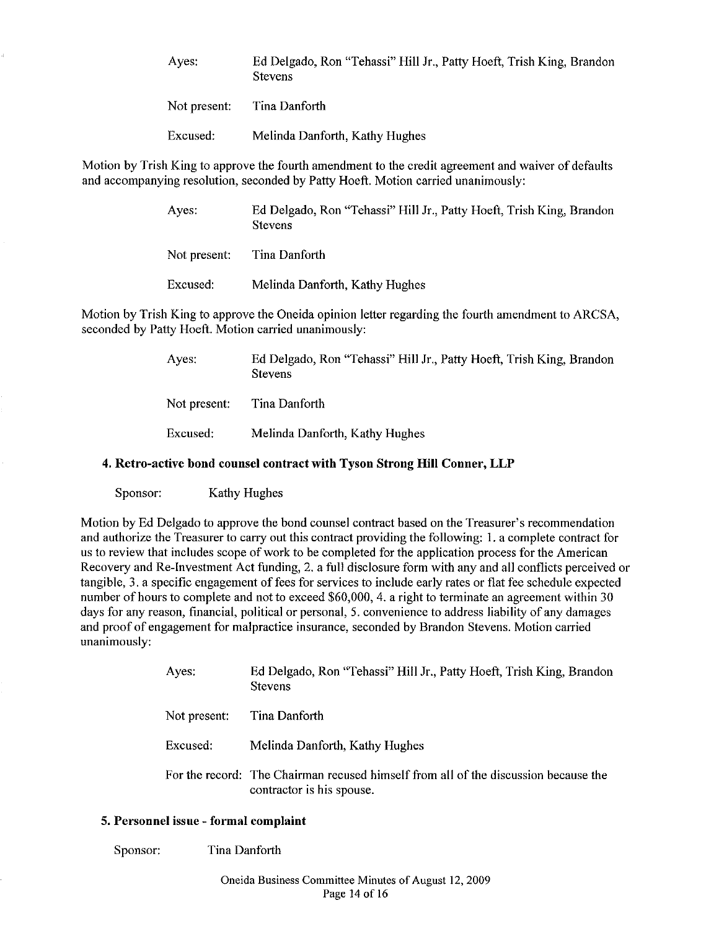| Ayes: | Ed Delgado, Ron "Tehassi" Hill Jr., Patty Hoeft, Trish King, Brandon |
|-------|----------------------------------------------------------------------|
|       | <b>Stevens</b>                                                       |

| Not present: | Tina Danforth |
|--------------|---------------|
|              |               |

Excused: Melinda Danforth, Kathy Hughes

Motion by Trish King to approve the fourth amendment to the credit agreement and waiver of defaults and accompanying resolution, seconded by Patty Hoeft. Motion carried unanimously:

| Aves:        | Ed Delgado, Ron "Tehassi" Hill Jr., Patty Hoeft, Trish King, Brandon<br><b>Stevens</b> |
|--------------|----------------------------------------------------------------------------------------|
| Not present: | Tina Danforth                                                                          |
| Excused:     | Melinda Danforth, Kathy Hughes                                                         |

Motion by Trish King to approve the Oneida opinion letter regarding the fourth amendment to ARCSA, seconded by Patty Hoeft. Motion carried unanimously:

> Ayes: Ed Delgado, Ron "Tehassi" Hill Jr., Patty Hoeft, Trish King, Brandon Stevens

Not present: Tina Danforth

Excused: Melinda Danforth, Kathy Hughes

## 4. Retro-active bond counsel contract with Tyson Strong **Hill** Conner, **LLP**

Sponsor: Kathy Hughes

Motion by Ed Delgado to approve the bond counsel contract based on the Treasurer's recommendation and authorize the Treasurer to carry out this contract providing the following: 1. a complete contract for us to review that includes scope of work to be completed for the application process for the American Recovery and Re-Investment Act funding, 2. a full disclosure form with any and all conflicts perceived or tangible, 3. a specific engagement of fees for services to include early rates or flat fee schedule expected number of hours to complete and not to exceed \$60,000, 4. a right to terminate an agreement within 30 days for any reason, financial, political or personal, 5. convenience to address liability of any damages and proof of engagement for malpractice insurance, seconded by Brandon Stevens. Motion carried unanimously:

| Ayes:        | Ed Delgado, Ron "Tehassi" Hill Jr., Patty Hoeft, Trish King, Brandon<br><b>Stevens</b>                           |
|--------------|------------------------------------------------------------------------------------------------------------------|
| Not present: | Tina Danforth                                                                                                    |
| Excused:     | Melinda Danforth, Kathy Hughes                                                                                   |
|              | For the record: The Chairman recused himself from all of the discussion because the<br>contractor is his spouse. |

## 5. Personnel issue - formal complaint

Sponsor: Tina Danforth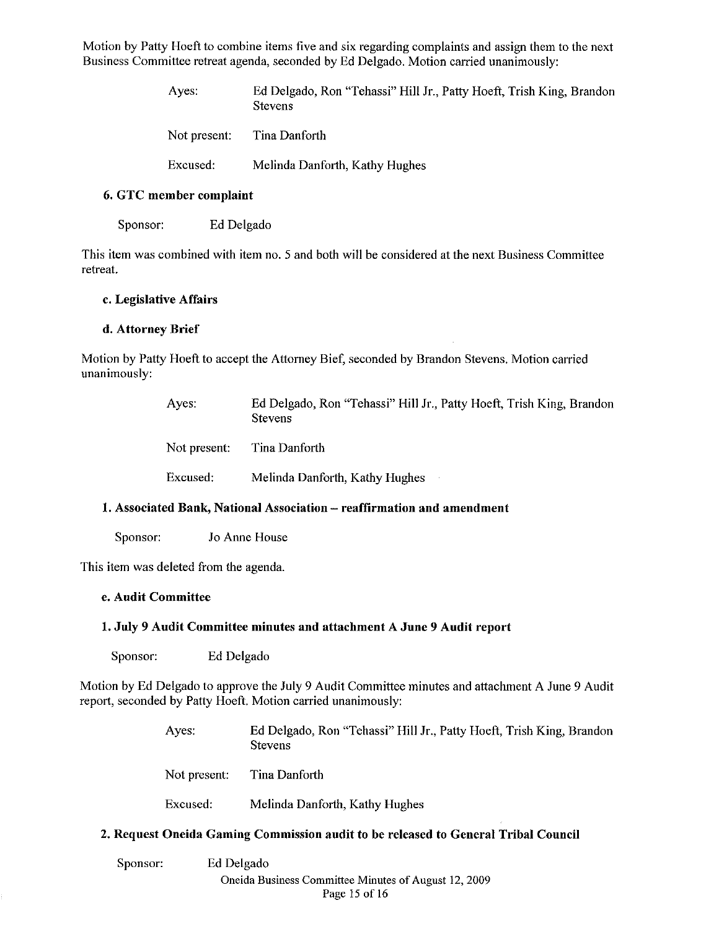Motion by Patty Hoeft to combine items five and six regarding complaints and assign them to the next Business Committee retreat agenda, seconded by Ed Delgado. Motion carried unanimously:

> Ayes: Ed Delgado, Ron "Tehassi" Hill Jr., Patty Hoeft, Trish King, Brandon Stevens

| Not present: | Tina Danforth |  |
|--------------|---------------|--|
|              |               |  |

Excused: Melinda Danforth, Kathy Hughes

## 6. GTC member complaint

Sponsor: Ed Delgado

This item was combined with item no. 5 and both will be considered at the next Business Committee retreat.

## c. Legislative Affairs

## d. Attorney Brief

Motion by Patty Hoeft to accept the Attorney Bief, seconded by Brandon Stevens. Motion carried unanimously:

| Ayes:        | Ed Delgado, Ron "Tehassi" Hill Jr., Patty Hoeft, Trish King, Brandon<br><b>Stevens</b> |
|--------------|----------------------------------------------------------------------------------------|
| Not present: | Tina Danforth                                                                          |
| Excused:     | Melinda Danforth, Kathy Hughes                                                         |

## 1. Associated Bank, National Association - reaffirmation and amendment

Sponsor: Jo Anne House

This item was deleted from the agenda.

## e. Audit Committee

## 1. July 9 Audit Committee minutes and attachment A June 9 Audit report

Sponsor: Ed Delgado

Motion by Ed Delgado to approve the July 9 Audit Committee minutes and attachment A June 9 Audit report, seconded by Patty Hoeft. Motion carried unanimously:

> Ayes: Ed Delgado, Ron "Tehassi" Hill Jr., Patty Hoeft, Trish King, Brandon **Stevens**

Not present: Tina Danforth

Excused: Melinda Danforth, Kathy Hughes

## 2. Request Oneida Gaming Commission audit to be released to General Tribal Conncil

Sponsor: Ed Delgado